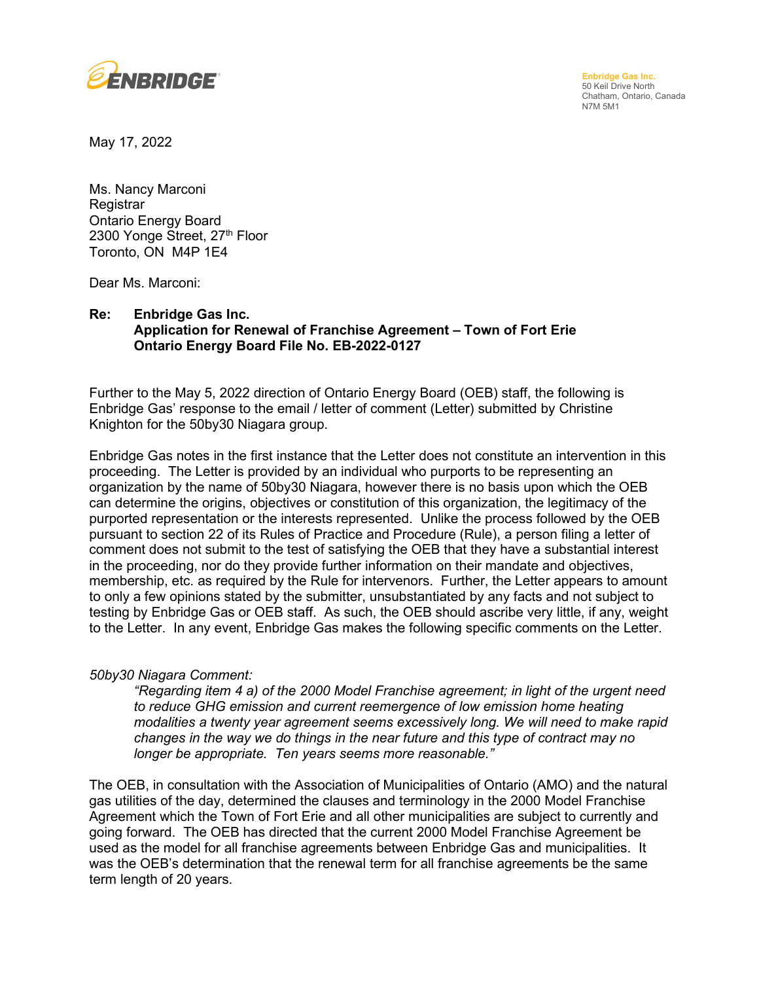

**Enbridge Gas Inc.**  50 Keil Drive North Chatham, Ontario, Canada N7M 5M1

May 17, 2022

Ms. Nancy Marconi **Registrar** Ontario Energy Board 2300 Yonge Street, 27<sup>th</sup> Floor Toronto, ON M4P 1E4

Dear Ms. Marconi:

## **Re: Enbridge Gas Inc. Application for Renewal of Franchise Agreement – Town of Fort Erie Ontario Energy Board File No. EB-2022-0127**

Further to the May 5, 2022 direction of Ontario Energy Board (OEB) staff, the following is Enbridge Gas' response to the email / letter of comment (Letter) submitted by Christine Knighton for the 50by30 Niagara group.

Enbridge Gas notes in the first instance that the Letter does not constitute an intervention in this proceeding. The Letter is provided by an individual who purports to be representing an organization by the name of 50by30 Niagara, however there is no basis upon which the OEB can determine the origins, objectives or constitution of this organization, the legitimacy of the purported representation or the interests represented. Unlike the process followed by the OEB pursuant to section 22 of its Rules of Practice and Procedure (Rule), a person filing a letter of comment does not submit to the test of satisfying the OEB that they have a substantial interest in the proceeding, nor do they provide further information on their mandate and objectives, membership, etc. as required by the Rule for intervenors. Further, the Letter appears to amount to only a few opinions stated by the submitter, unsubstantiated by any facts and not subject to testing by Enbridge Gas or OEB staff. As such, the OEB should ascribe very little, if any, weight to the Letter. In any event, Enbridge Gas makes the following specific comments on the Letter.

## *50by30 Niagara Comment:*

*"Regarding item 4 a) of the 2000 Model Franchise agreement; in light of the urgent need to reduce GHG emission and current reemergence of low emission home heating modalities a twenty year agreement seems excessively long. We will need to make rapid changes in the way we do things in the near future and this type of contract may no longer be appropriate. Ten years seems more reasonable."*

The OEB, in consultation with the Association of Municipalities of Ontario (AMO) and the natural gas utilities of the day, determined the clauses and terminology in the 2000 Model Franchise Agreement which the Town of Fort Erie and all other municipalities are subject to currently and going forward. The OEB has directed that the current 2000 Model Franchise Agreement be used as the model for all franchise agreements between Enbridge Gas and municipalities. It was the OEB's determination that the renewal term for all franchise agreements be the same term length of 20 years.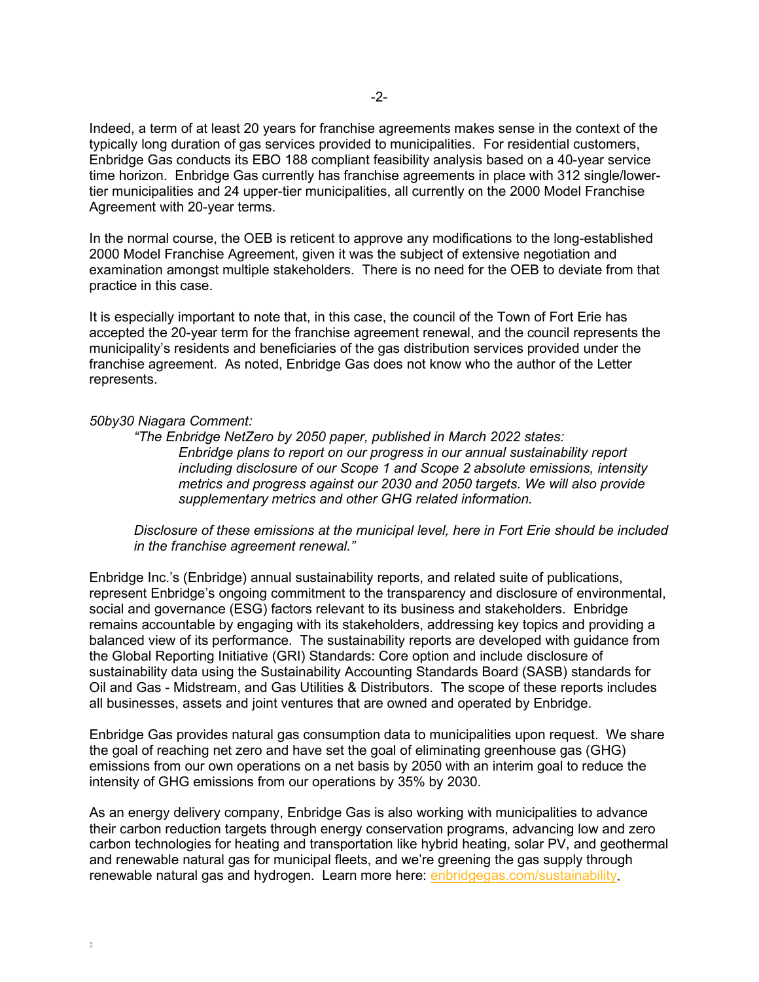Indeed, a term of at least 20 years for franchise agreements makes sense in the context of the typically long duration of gas services provided to municipalities. For residential customers, Enbridge Gas conducts its EBO 188 compliant feasibility analysis based on a 40-year service time horizon. Enbridge Gas currently has franchise agreements in place with 312 single/lowertier municipalities and 24 upper-tier municipalities, all currently on the 2000 Model Franchise Agreement with 20-year terms.

In the normal course, the OEB is reticent to approve any modifications to the long-established 2000 Model Franchise Agreement, given it was the subject of extensive negotiation and examination amongst multiple stakeholders. There is no need for the OEB to deviate from that practice in this case.

It is especially important to note that, in this case, the council of the Town of Fort Erie has accepted the 20-year term for the franchise agreement renewal, and the council represents the municipality's residents and beneficiaries of the gas distribution services provided under the franchise agreement. As noted, Enbridge Gas does not know who the author of the Letter represents.

## *50by30 Niagara Comment:*

 $\gamma$ 

*"The Enbridge NetZero by 2050 paper, published in March 2022 states: Enbridge plans to report on our progress in our annual sustainability report including disclosure of our Scope 1 and Scope 2 absolute emissions, intensity metrics and progress against our 2030 and 2050 targets. We will also provide supplementary metrics and other GHG related information.*

*Disclosure of these emissions at the municipal level, here in Fort Erie should be included in the franchise agreement renewal."* 

Enbridge Inc.'s (Enbridge) annual sustainability reports, and related suite of publications, represent Enbridge's ongoing commitment to the transparency and disclosure of environmental, social and governance (ESG) factors relevant to its business and stakeholders. Enbridge remains accountable by engaging with its stakeholders, addressing key topics and providing a balanced view of its performance. The sustainability reports are developed with guidance from the Global Reporting Initiative (GRI) Standards: Core option and include disclosure of sustainability data using the Sustainability Accounting Standards Board (SASB) standards for Oil and Gas - Midstream, and Gas Utilities & Distributors. The scope of these reports includes all businesses, assets and joint ventures that are owned and operated by Enbridge.

Enbridge Gas provides natural gas consumption data to municipalities upon request. We share the goal of reaching net zero and have set the goal of eliminating greenhouse gas (GHG) emissions from our own operations on a net basis by 2050 with an interim goal to reduce the intensity of GHG emissions from our operations by 35% by 2030.

As an energy delivery company, Enbridge Gas is also working with municipalities to advance their carbon reduction targets through energy conservation programs, advancing low and zero carbon technologies for heating and transportation like hybrid heating, solar PV, and geothermal and renewable natural gas for municipal fleets, and we're greening the gas supply through renewable natural gas and hydrogen. Learn more here: [enbridgegas.com/sustainability.](https://www.enbridgegas.com/sustainability)